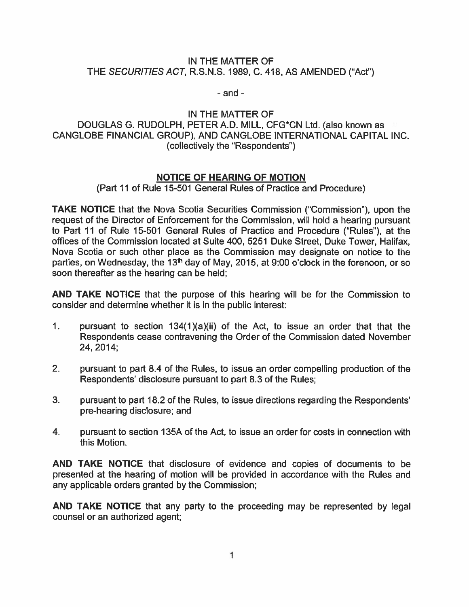## IN THE MATTER OF THE SECURITIES ACT, R.S.N.S. 1989, C. 418, AS AMENDED ("Act")

- and -

IN THE MATTER OF DOUGLAS G. RUDOLPH, PETER A.D. MILL, CFG\*CN Ltd. (also known as CANGLOBE FINANCIAL GROUP), AND CANGLOBE INTERNATIONAL CAPITAL INC. (collectively the "Respondents")

## NOTICE OF HEARING OF MOTION

(Part 11 of Rule 15-501 General Rules of Practice and Procedure)

TAKE NOTICE that the Nova Scotia Securities Commission ("Commission"), upon the reques<sup>t</sup> of the Director of Enforcement for the Commission, will hold <sup>a</sup> hearing pursuan<sup>t</sup> to Part 11 of Rule 15-501 General Rules of Practice and Procedure ("Rules"), at the offices of the Commission located at Suite 400, 5251 Duke Street, Duke Tower, Halifax, Nova Scotia or such other place as the Commission may designate on notice to the parties, on Wednesday, the  $13<sup>th</sup>$  day of May, 2015, at 9:00 o'clock in the forenoon, or so soon thereafter as the hearing can be held;

AND TAKE NOTICE that the purpose of this hearing will be for the Commission to consider and determine whether it is in the public interest:

- 1. pursuant to section  $134(1)(a)(ii)$  of the Act, to issue an order that that the Respondents cease contravening the Order of the Commission dated November 24, 2014;
- 2. pursuan<sup>t</sup> to par<sup>t</sup> 8.4 of the Rules, to issue an order compelling production of the Respondents' disclosure pursuan<sup>t</sup> to par<sup>t</sup> 8.3 of the Rules;
- 3. pursuan<sup>t</sup> to par<sup>t</sup> 18.2 of the Rules, to issue directions regarding the Respondents' pre-hearing disclosure; and
- 4. pursuant to section 135A of the Act, to issue an order for costs in connection with this Motion.

AND TAKE NOTICE that disclosure of evidence and copies of documents to be presented at the hearing of motion will be provided in accordance with the Rules and any applicable orders granted by the Commission;

AND TAKE NOTICE that any party to the proceeding may be represented by legal counsel or an authorized agent;